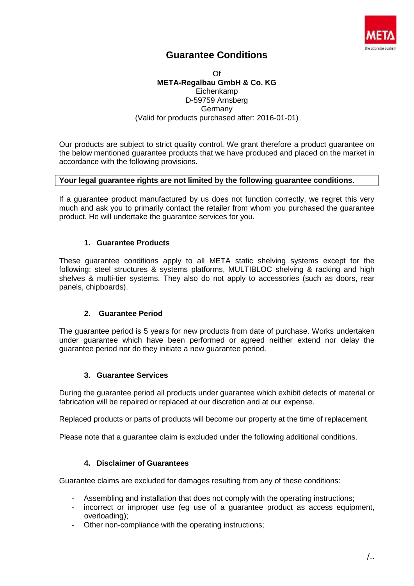

# **Guarantee Conditions**

Of **META-Regalbau GmbH & Co. KG** Eichenkamp D-59759 Arnsberg Germany (Valid for products purchased after: 2016-01-01)

Our products are subject to strict quality control. We grant therefore a product guarantee on the below mentioned guarantee products that we have produced and placed on the market in accordance with the following provisions.

### **Your legal guarantee rights are not limited by the following guarantee conditions.**

If a guarantee product manufactured by us does not function correctly, we regret this very much and ask you to primarily contact the retailer from whom you purchased the guarantee product. He will undertake the guarantee services for you.

## **1. Guarantee Products**

These guarantee conditions apply to all META static shelving systems except for the following: steel structures & systems platforms, MULTIBLOC shelving & racking and high shelves & multi-tier systems. They also do not apply to accessories (such as doors, rear panels, chipboards).

## **2. Guarantee Period**

The guarantee period is 5 years for new products from date of purchase. Works undertaken under guarantee which have been performed or agreed neither extend nor delay the guarantee period nor do they initiate a new guarantee period.

#### **3. Guarantee Services**

During the guarantee period all products under guarantee which exhibit defects of material or fabrication will be repaired or replaced at our discretion and at our expense.

Replaced products or parts of products will become our property at the time of replacement.

Please note that a guarantee claim is excluded under the following additional conditions.

#### **4. Disclaimer of Guarantees**

Guarantee claims are excluded for damages resulting from any of these conditions:

- Assembling and installation that does not comply with the operating instructions;
- incorrect or improper use (eg use of a guarantee product as access equipment, overloading);
- Other non-compliance with the operating instructions;